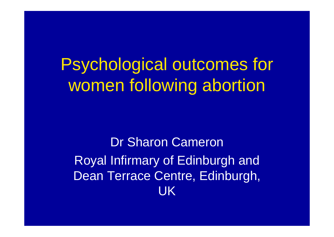## Psychological outcomes for women following abortion

Dr Sharon Cameron Royal Infirmary of Edinburgh and Dean Terrace Centre, Edinburgh, UK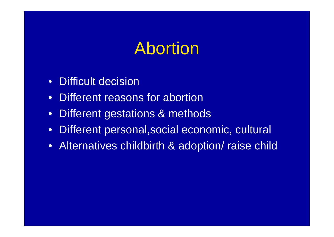## Abortion

- Difficult decision
- Different reasons for abortion
- Different gestations & methods
- Different personal,social economic, cultural
- Alternatives childbirth & adoption/ raise child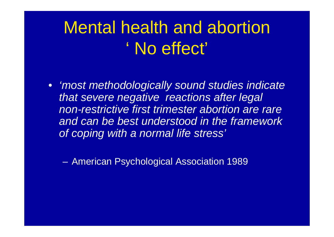## Mental health and abortion ' No effect'

• *'most methodologically sound studies indicate that severe negative reactions after legal non-restrictive first trimester abortion are rare and can be best understood in the framework of coping with a normal life stress'*

– American Psychological Association 1989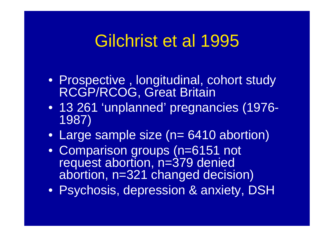## Gilchrist et al 1995

- Prospective , longitudinal, cohort study RCGP/RCOG, Great Britain
- 13 261 'unplanned' pregnancies (1976- 1987)
- Large sample size (n= 6410 abortion)
- Comparison groups (n=6151 not request abortion, n=379 denied abortion, n=321 changed decision)
- Psychosis, depression & anxiety, DSH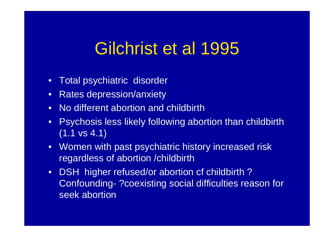## Gilchrist et al 1995

- Total psychiatric disorder
- Rates depression/anxiety
- No different abortion and childbirth
- Psychosis less likely following abortion than childbirth (1.1 vs 4.1)
- Women with past psychiatric history increased risk regardless of abortion /childbirth
- DSH higher refused/or abortion cf childbirth? Confounding- ?coexisting social difficulties reason for seek abortion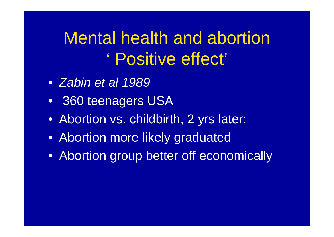## Mental health and abortion ' Positive effect'

- *Zabin et al 1989*
- 360 teenagers USA
- Abortion vs. childbirth, 2 yrs later:
- Abortion more likely graduated
- Abortion group better off economically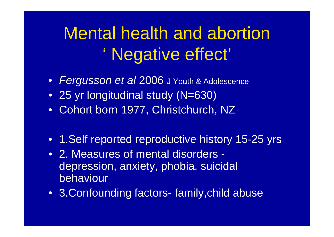# Mental health and abortion ' Negative effect'

- *Fergusson et al* 2006 J Youth & Adolescence
- 25 yr longitudinal study (N=630)
- Cohort born 1977, Christchurch, NZ
- 1. Self reported reproductive history 15-25 yrs
- 2. Measures of mental disorders depression, anxiety, phobia, suicidal behaviour
- 3.Confounding factors- family,child abuse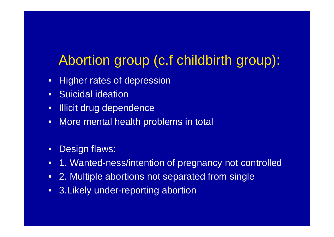#### Abortion group (c.f childbirth group):

- Higher rates of depression
- Suicidal ideation
- Illicit drug dependence
- More mental health problems in total
- Design flaws:
- 1. Wanted-ness/intention of pregnancy not controlled
- 2. Multiple abortions not separated from single
- 3. Likely under-reporting abortion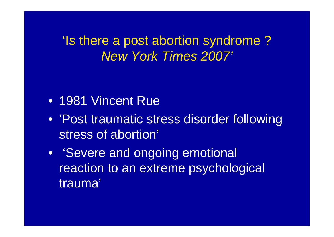'Is there a post abortion syndrome ? *New York Times 2007'*

- 1981 Vincent Rue
- 'Post traumatic stress disorder following stress of abortion'
- 'Severe and ongoing emotional reaction to an extreme psychological trauma'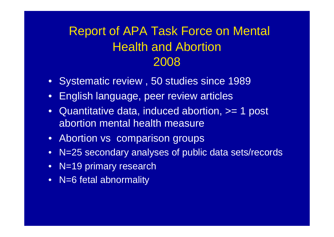#### Report of APA Task Force on Mental Health and Abortion 2008

- Systematic review , 50 studies since 1989
- English language, peer review articles
- Quantitative data, induced abortion,  $>= 1$  post abortion mental health measure
- Abortion vs comparison groups
- N=25 secondary analyses of public data sets/records
- N=19 primary research
- N=6 fetal abnormality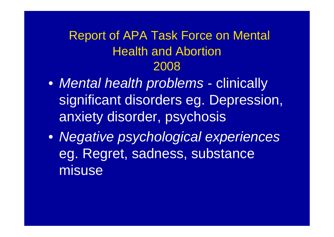#### Report of APA Task Force on Mental Health and Abortion 2008

- *Mental health problems*  clinically significant disorders eg. Depression, anxiety disorder, psychosis
- *Negative psychological experiences*  eg. Regret, sadness, substance misuse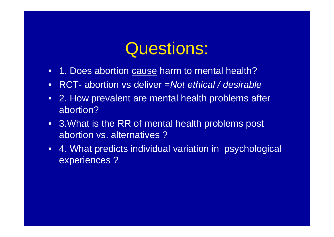## Questions:

- 1. Does abortion cause harm to mental health?
- RCT- abortion vs deliver =*Not ethical / desirable*
- 2. How prevalent are mental health problems after abortion?
- 3. What is the RR of mental health problems post abortion vs. alternatives ?
- 4. What predicts individual variation in psychological experiences ?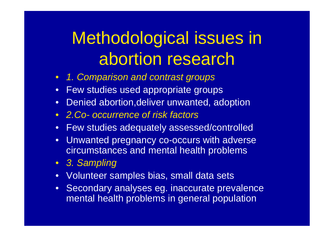# Methodological issues in abortion research

- *1. Comparison and contrast groups*
- Few studies used appropriate groups
- Denied abortion,deliver unwanted, adoption
- *2.Co- occurrence of risk factors*
- Few studies adequately assessed/controlled
- Unwanted pregnancy co-occurs with adverse circumstances and mental health problems
- *3. Sampling*
- Volunteer samples bias, small data sets
- Secondary analyses eg. inaccurate prevalence mental health problems in general population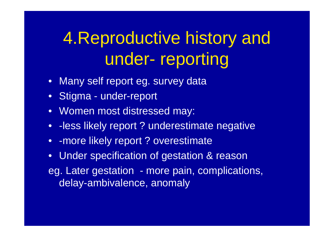# 4.Reproductive history and under- reporting

- Many self report eg. survey data
- Stigma under-report
- Women most distressed may:
- - less likely report ? underestimate negative
- - more likely report? overestimate
- Under specification of gestation & reason eg. Later gestation - more pain, complications, delay-ambivalence, anomaly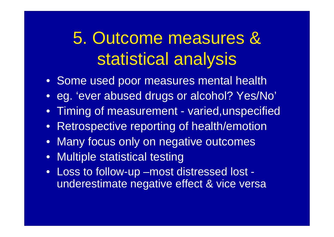# 5. Outcome measures & statistical analysis

- Some used poor measures mental health
- eg. 'ever abused drugs or alcohol? Yes/No'
- Timing of measurement varied,unspecified
- Retrospective reporting of health/emotion
- Many focus only on negative outcomes
- Multiple statistical testing
- Loss to follow-up –most distressed lost underestimate negative effect & vice versa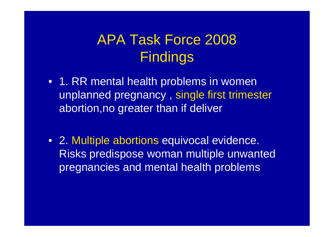#### APA Task Force 2008 Findings

- 1. RR mental health problems in women unplanned pregnancy , single first trimester abortion,no greater than if deliver
- 2. Multiple abortions equivocal evidence. Risks predispose woman multiple unwanted pregnancies and mental health problems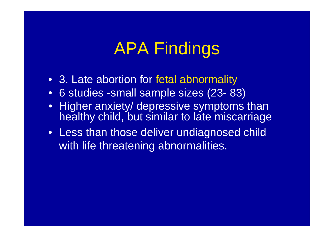# APA Findings

- 3. Late abortion for fetal abnormality
- 6 studies -small sample sizes (23- 83)
- Higher anxiety/ depressive symptoms than healthy child, but similar to late miscarriage
- Less than those deliver undiagnosed child with life threatening abnormalities.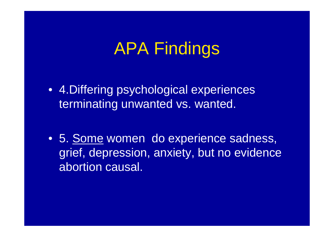## APA Findings

- 4.Differing psychological experiences terminating unwanted vs. wanted.
- 5. Some women do experience sadness, grief, depression, anxiety, but no evidence abortion causal.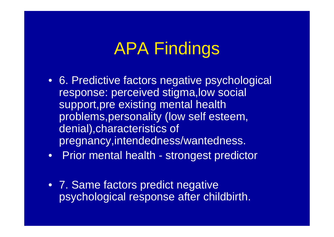# APA Findings

- 6. Predictive factors negative psychological response: perceived stigma,low social support, pre existing mental health problems,personality (low self esteem, denial),characteristics of pregnancy,intendedness/wantedness.
- Prior mental health strongest predictor
- 7. Same factors predict negative psychological response after childbirth.